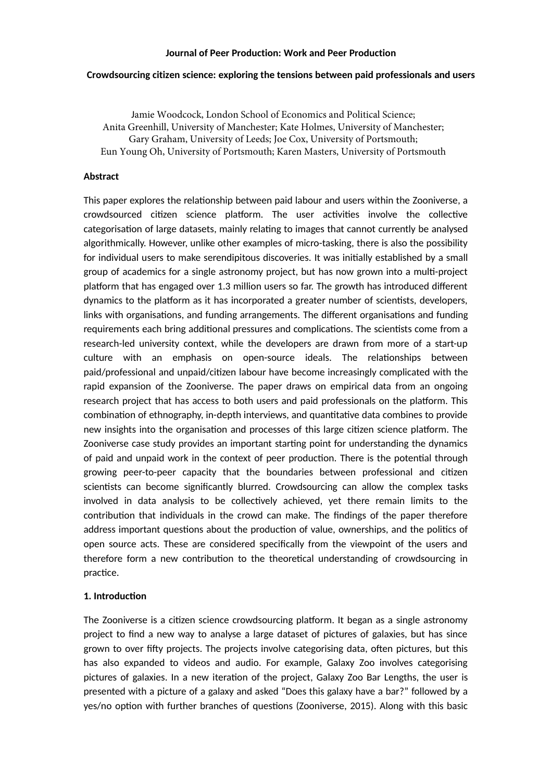### **Journal of Peer Production: Work and Peer Production**

#### **Crowdsourcing citizen science: exploring the tensions between paid professionals and users**

Jamie Woodcock, London School of Economics and Political Science; Anita Greenhill, University of Manchester; Kate Holmes, University of Manchester; Gary Graham, University of Leeds; Joe Cox, University of Portsmouth; Eun Young Oh, University of Portsmouth; Karen Masters, University of Portsmouth

### **Abstract**

This paper explores the relationship between paid labour and users within the Zooniverse, a crowdsourced citizen science platform. The user activities involve the collective categorisation of large datasets, mainly relating to images that cannot currently be analysed algorithmically. However, unlike other examples of micro-tasking, there is also the possibility for individual users to make serendipitous discoveries. It was initially established by a small group of academics for a single astronomy project, but has now grown into a multi-project platform that has engaged over 1.3 million users so far. The growth has introduced different dynamics to the platform as it has incorporated a greater number of scientists, developers, links with organisations, and funding arrangements. The different organisations and funding requirements each bring additional pressures and complications. The scientists come from a research-led university context, while the developers are drawn from more of a start-up culture with an emphasis on open-source ideals. The relationships between paid/professional and unpaid/citizen labour have become increasingly complicated with the rapid expansion of the Zooniverse. The paper draws on empirical data from an ongoing research project that has access to both users and paid professionals on the platform. This combination of ethnography, in-depth interviews, and quantitative data combines to provide new insights into the organisation and processes of this large citizen science platform. The Zooniverse case study provides an important starting point for understanding the dynamics of paid and unpaid work in the context of peer production. There is the potential through growing peer-to-peer capacity that the boundaries between professional and citizen scientists can become significantly blurred. Crowdsourcing can allow the complex tasks involved in data analysis to be collectively achieved, yet there remain limits to the contribution that individuals in the crowd can make. The findings of the paper therefore address important questions about the production of value, ownerships, and the politics of open source acts. These are considered specifically from the viewpoint of the users and therefore form a new contribution to the theoretical understanding of crowdsourcing in practice.

### **1. Introduction**

The Zooniverse is a citizen science crowdsourcing platform. It began as a single astronomy project to find a new way to analyse a large dataset of pictures of galaxies, but has since grown to over fifty projects. The projects involve categorising data, often pictures, but this has also expanded to videos and audio. For example, Galaxy Zoo involves categorising pictures of galaxies. In a new iteration of the project, Galaxy Zoo Bar Lengths, the user is presented with a picture of a galaxy and asked "Does this galaxy have a bar?" followed by a yes/no option with further branches of questions (Zooniverse, 2015). Along with this basic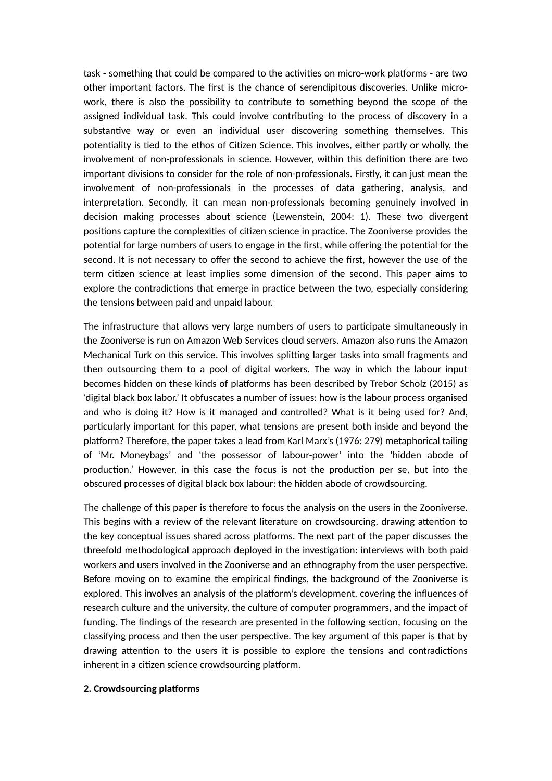task - something that could be compared to the activities on micro-work platforms - are two other important factors. The first is the chance of serendipitous discoveries. Unlike microwork, there is also the possibility to contribute to something beyond the scope of the assigned individual task. This could involve contributing to the process of discovery in a substantive way or even an individual user discovering something themselves. This potentiality is tied to the ethos of Citizen Science. This involves, either partly or wholly, the involvement of non-professionals in science. However, within this definition there are two important divisions to consider for the role of non-professionals. Firstly, it can just mean the involvement of non-professionals in the processes of data gathering, analysis, and interpretation. Secondly, it can mean non-professionals becoming genuinely involved in decision making processes about science (Lewenstein, 2004: 1). These two divergent positions capture the complexities of citizen science in practice. The Zooniverse provides the potential for large numbers of users to engage in the first, while offering the potential for the second. It is not necessary to offer the second to achieve the first, however the use of the term citizen science at least implies some dimension of the second. This paper aims to explore the contradictions that emerge in practice between the two, especially considering the tensions between paid and unpaid labour.

The infrastructure that allows very large numbers of users to participate simultaneously in the Zooniverse is run on Amazon Web Services cloud servers. Amazon also runs the Amazon Mechanical Turk on this service. This involves splitting larger tasks into small fragments and then outsourcing them to a pool of digital workers. The way in which the labour input becomes hidden on these kinds of platforms has been described by Trebor Scholz (2015) as 'digital black box labor.' It obfuscates a number of issues: how is the labour process organised and who is doing it? How is it managed and controlled? What is it being used for? And, particularly important for this paper, what tensions are present both inside and beyond the platform? Therefore, the paper takes a lead from Karl Marx's (1976: 279) metaphorical tailing of 'Mr. Moneybags' and 'the possessor of labour-power' into the 'hidden abode of production.' However, in this case the focus is not the production per se, but into the obscured processes of digital black box labour: the hidden abode of crowdsourcing.

The challenge of this paper is therefore to focus the analysis on the users in the Zooniverse. This begins with a review of the relevant literature on crowdsourcing, drawing atention to the key conceptual issues shared across platforms. The next part of the paper discusses the threefold methodological approach deployed in the investigation: interviews with both paid workers and users involved in the Zooniverse and an ethnography from the user perspective. Before moving on to examine the empirical findings, the background of the Zooniverse is explored. This involves an analysis of the platform's development, covering the influences of research culture and the university, the culture of computer programmers, and the impact of funding. The findings of the research are presented in the following section, focusing on the classifying process and then the user perspective. The key argument of this paper is that by drawing atention to the users it is possible to explore the tensions and contradictions inherent in a citizen science crowdsourcing platform.

### **2. Crowdsourcing platforms**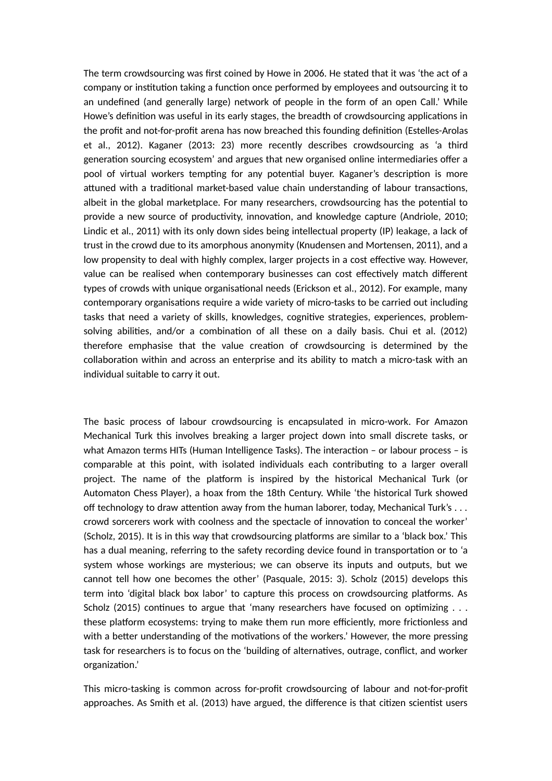The term crowdsourcing was first coined by Howe in 2006. He stated that it was 'the act of a company or institution taking a function once performed by employees and outsourcing it to an undefined (and generally large) network of people in the form of an open Call.' While Howe's definition was useful in its early stages, the breadth of crowdsourcing applications in the profit and not-for-profit arena has now breached this founding definition (Estelles-Arolas et al., 2012). Kaganer (2013: 23) more recently describes crowdsourcing as 'a third generation sourcing ecosystem' and argues that new organised online intermediaries offer a pool of virtual workers tempting for any potential buyer. Kaganer's description is more atuned with a traditional market-based value chain understanding of labour transactions, albeit in the global marketplace. For many researchers, crowdsourcing has the potential to provide a new source of productivity, innovation, and knowledge capture (Andriole, 2010; Lindic et al., 2011) with its only down sides being intellectual property (IP) leakage, a lack of trust in the crowd due to its amorphous anonymity (Knudensen and Mortensen, 2011), and a low propensity to deal with highly complex, larger projects in a cost effective way. However, value can be realised when contemporary businesses can cost effectively match different types of crowds with unique organisational needs (Erickson et al., 2012). For example, many contemporary organisations require a wide variety of micro-tasks to be carried out including tasks that need a variety of skills, knowledges, cognitive strategies, experiences, problemsolving abilities, and/or a combination of all these on a daily basis. Chui et al. (2012) therefore emphasise that the value creation of crowdsourcing is determined by the collaboration within and across an enterprise and its ability to match a micro-task with an individual suitable to carry it out.

The basic process of labour crowdsourcing is encapsulated in micro-work. For Amazon Mechanical Turk this involves breaking a larger project down into small discrete tasks, or what Amazon terms HITs (Human Intelligence Tasks). The interaction - or labour process - is comparable at this point, with isolated individuals each contributing to a larger overall project. The name of the platform is inspired by the historical Mechanical Turk (or Automaton Chess Player), a hoax from the 18th Century. While 'the historical Turk showed off technology to draw atention away from the human laborer, today, Mechanical Turk's . . . crowd sorcerers work with coolness and the spectacle of innovation to conceal the worker' (Scholz, 2015). It is in this way that crowdsourcing platforms are similar to a 'black box.' This has a dual meaning, referring to the safety recording device found in transportation or to 'a system whose workings are mysterious; we can observe its inputs and outputs, but we cannot tell how one becomes the other' (Pasquale, 2015: 3). Scholz (2015) develops this term into 'digital black box labor' to capture this process on crowdsourcing platforms. As Scholz (2015) continues to argue that 'many researchers have focused on optimizing . . . these platform ecosystems: trying to make them run more efficiently, more frictionless and with a better understanding of the motivations of the workers.' However, the more pressing task for researchers is to focus on the 'building of alternatives, outrage, conflict, and worker organization.'

This micro-tasking is common across for-profit crowdsourcing of labour and not-for-profit approaches. As Smith et al. (2013) have argued, the difference is that citizen scientist users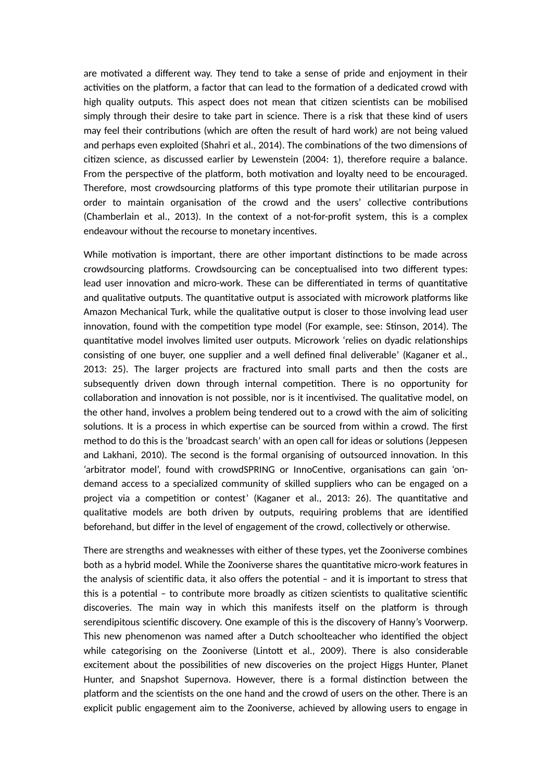are motivated a different way. They tend to take a sense of pride and enjoyment in their activities on the platform, a factor that can lead to the formation of a dedicated crowd with high quality outputs. This aspect does not mean that citizen scientists can be mobilised simply through their desire to take part in science. There is a risk that these kind of users may feel their contributions (which are often the result of hard work) are not being valued and perhaps even exploited (Shahri et al., 2014). The combinations of the two dimensions of citizen science, as discussed earlier by Lewenstein (2004: 1), therefore require a balance. From the perspective of the platform, both motivation and loyalty need to be encouraged. Therefore, most crowdsourcing platforms of this type promote their utilitarian purpose in order to maintain organisation of the crowd and the users' collective contributions (Chamberlain et al., 2013). In the context of a not-for-profit system, this is a complex endeavour without the recourse to monetary incentives.

While motivation is important, there are other important distinctions to be made across crowdsourcing platforms. Crowdsourcing can be conceptualised into two different types: lead user innovation and micro-work. These can be differentiated in terms of quantitative and qualitative outputs. The quantitative output is associated with microwork platforms like Amazon Mechanical Turk, while the qualitative output is closer to those involving lead user innovation, found with the competition type model (For example, see: Stinson, 2014). The quantitative model involves limited user outputs. Microwork 'relies on dyadic relationships consisting of one buyer, one supplier and a well defined final deliverable' (Kaganer et al., 2013: 25). The larger projects are fractured into small parts and then the costs are subsequently driven down through internal competition. There is no opportunity for collaboration and innovation is not possible, nor is it incentivised. The qualitative model, on the other hand, involves a problem being tendered out to a crowd with the aim of soliciting solutions. It is a process in which expertise can be sourced from within a crowd. The first method to do this is the 'broadcast search' with an open call for ideas or solutions (Jeppesen and Lakhani, 2010). The second is the formal organising of outsourced innovation. In this 'arbitrator model', found with crowdSPRING or InnoCentive, organisations can gain 'ondemand access to a specialized community of skilled suppliers who can be engaged on a project via a competition or contest' (Kaganer et al., 2013: 26). The quantitative and qualitative models are both driven by outputs, requiring problems that are identified beforehand, but differ in the level of engagement of the crowd, collectively or otherwise.

There are strengths and weaknesses with either of these types, yet the Zooniverse combines both as a hybrid model. While the Zooniverse shares the quantitative micro-work features in the analysis of scientific data, it also offers the potential – and it is important to stress that this is a potential – to contribute more broadly as citizen scientists to qualitative scientific discoveries. The main way in which this manifests itself on the platform is through serendipitous scientific discovery. One example of this is the discovery of Hanny's Voorwerp. This new phenomenon was named after a Dutch schoolteacher who identified the object while categorising on the Zooniverse (Lintott et al., 2009). There is also considerable excitement about the possibilities of new discoveries on the project Higgs Hunter, Planet Hunter, and Snapshot Supernova. However, there is a formal distinction between the platform and the scientists on the one hand and the crowd of users on the other. There is an explicit public engagement aim to the Zooniverse, achieved by allowing users to engage in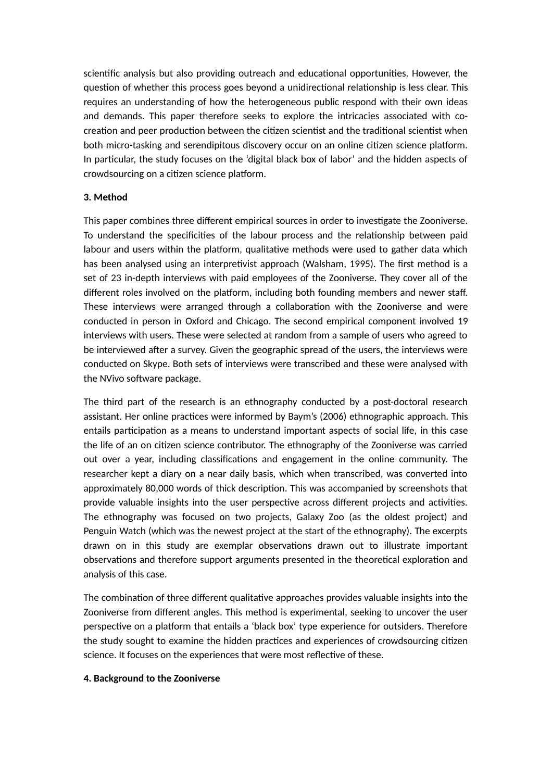scientific analysis but also providing outreach and educational opportunities. However, the question of whether this process goes beyond a unidirectional relationship is less clear. This requires an understanding of how the heterogeneous public respond with their own ideas and demands. This paper therefore seeks to explore the intricacies associated with cocreation and peer production between the citizen scientist and the traditional scientist when both micro-tasking and serendipitous discovery occur on an online citizen science platform. In particular, the study focuses on the 'digital black box of labor' and the hidden aspects of crowdsourcing on a citizen science platform.

# **3. Method**

This paper combines three different empirical sources in order to investigate the Zooniverse. To understand the specificities of the labour process and the relationship between paid labour and users within the platform, qualitative methods were used to gather data which has been analysed using an interpretivist approach (Walsham, 1995). The first method is a set of 23 in-depth interviews with paid employees of the Zooniverse. They cover all of the different roles involved on the platform, including both founding members and newer staff. These interviews were arranged through a collaboration with the Zooniverse and were conducted in person in Oxford and Chicago. The second empirical component involved 19 interviews with users. These were selected at random from a sample of users who agreed to be interviewed after a survey. Given the geographic spread of the users, the interviews were conducted on Skype. Both sets of interviews were transcribed and these were analysed with the NVivo software package.

The third part of the research is an ethnography conducted by a post-doctoral research assistant. Her online practices were informed by Baym's (2006) ethnographic approach. This entails participation as a means to understand important aspects of social life, in this case the life of an on citizen science contributor. The ethnography of the Zooniverse was carried out over a year, including classifications and engagement in the online community. The researcher kept a diary on a near daily basis, which when transcribed, was converted into approximately 80,000 words of thick description. This was accompanied by screenshots that provide valuable insights into the user perspective across different projects and activities. The ethnography was focused on two projects, Galaxy Zoo (as the oldest project) and Penguin Watch (which was the newest project at the start of the ethnography). The excerpts drawn on in this study are exemplar observations drawn out to illustrate important observations and therefore support arguments presented in the theoretical exploration and analysis of this case.

The combination of three different qualitative approaches provides valuable insights into the Zooniverse from different angles. This method is experimental, seeking to uncover the user perspective on a platform that entails a 'black box' type experience for outsiders. Therefore the study sought to examine the hidden practices and experiences of crowdsourcing citizen science. It focuses on the experiences that were most reflective of these.

## **4. Background to the Zooniverse**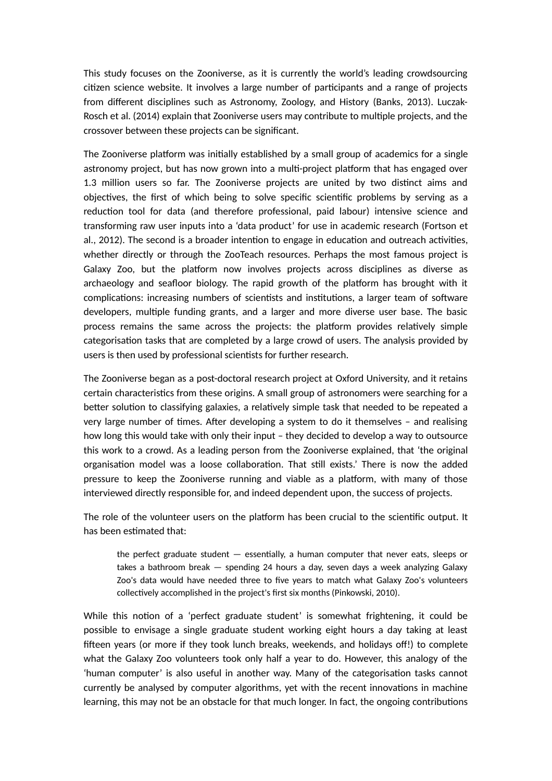This study focuses on the Zooniverse, as it is currently the world's leading crowdsourcing citizen science website. It involves a large number of participants and a range of projects from different disciplines such as Astronomy, Zoology, and History (Banks, 2013). Luczak-Rosch et al. (2014) explain that Zooniverse users may contribute to multiple projects, and the crossover between these projects can be significant.

The Zooniverse platform was initially established by a small group of academics for a single astronomy project, but has now grown into a multi-project platform that has engaged over 1.3 million users so far. The Zooniverse projects are united by two distinct aims and objectives, the first of which being to solve specific scientific problems by serving as a reduction tool for data (and therefore professional, paid labour) intensive science and transforming raw user inputs into a 'data product' for use in academic research (Fortson et al., 2012). The second is a broader intention to engage in education and outreach activities, whether directly or through the ZooTeach resources. Perhaps the most famous project is Galaxy Zoo, but the platform now involves projects across disciplines as diverse as archaeology and seafloor biology. The rapid growth of the platform has brought with it complications: increasing numbers of scientists and institutions, a larger team of software developers, multiple funding grants, and a larger and more diverse user base. The basic process remains the same across the projects: the platform provides relatively simple categorisation tasks that are completed by a large crowd of users. The analysis provided by users is then used by professional scientists for further research.

The Zooniverse began as a post-doctoral research project at Oxford University, and it retains certain characteristics from these origins. A small group of astronomers were searching for a better solution to classifying galaxies, a relatively simple task that needed to be repeated a very large number of times. After developing a system to do it themselves – and realising how long this would take with only their input – they decided to develop a way to outsource this work to a crowd. As a leading person from the Zooniverse explained, that 'the original organisation model was a loose collaboration. That still exists.' There is now the added pressure to keep the Zooniverse running and viable as a platform, with many of those interviewed directly responsible for, and indeed dependent upon, the success of projects.

The role of the volunteer users on the platform has been crucial to the scientific output. It has been estimated that:

the perfect graduate student — essentially, a human computer that never eats, sleeps or takes a bathroom break — spending 24 hours a day, seven days a week analyzing Galaxy Zoo's data would have needed three to five years to match what Galaxy Zoo's volunteers collectively accomplished in the project's first six months (Pinkowski, 2010).

While this notion of a 'perfect graduate student' is somewhat frightening, it could be possible to envisage a single graduate student working eight hours a day taking at least fifteen years (or more if they took lunch breaks, weekends, and holidays off!) to complete what the Galaxy Zoo volunteers took only half a year to do. However, this analogy of the 'human computer' is also useful in another way. Many of the categorisation tasks cannot currently be analysed by computer algorithms, yet with the recent innovations in machine learning, this may not be an obstacle for that much longer. In fact, the ongoing contributions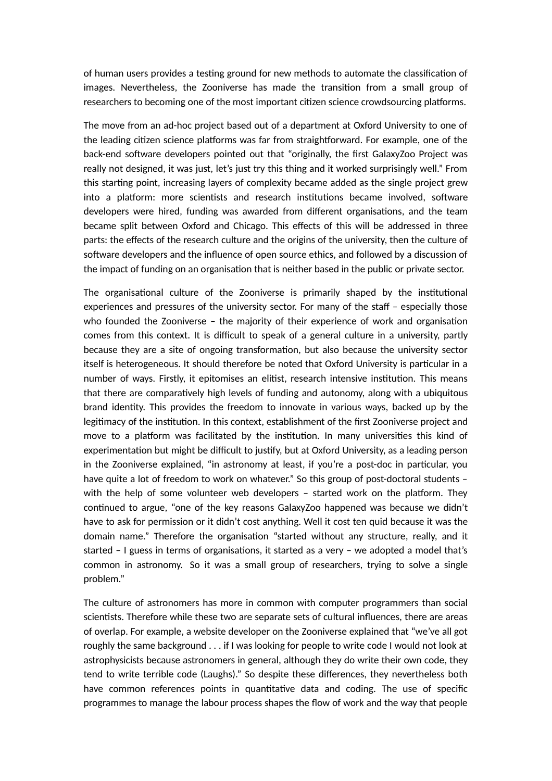of human users provides a testing ground for new methods to automate the classification of images. Nevertheless, the Zooniverse has made the transition from a small group of researchers to becoming one of the most important citizen science crowdsourcing platforms.

The move from an ad-hoc project based out of a department at Oxford University to one of the leading citizen science platforms was far from straightforward. For example, one of the back-end software developers pointed out that "originally, the first GalaxyZoo Project was really not designed, it was just, let's just try this thing and it worked surprisingly well." From this starting point, increasing layers of complexity became added as the single project grew into a platform: more scientists and research institutions became involved, software developers were hired, funding was awarded from different organisations, and the team became split between Oxford and Chicago. This effects of this will be addressed in three parts: the effects of the research culture and the origins of the university, then the culture of software developers and the influence of open source ethics, and followed by a discussion of the impact of funding on an organisation that is neither based in the public or private sector.

The organisational culture of the Zooniverse is primarily shaped by the institutional experiences and pressures of the university sector. For many of the staff – especially those who founded the Zooniverse – the majority of their experience of work and organisation comes from this context. It is difficult to speak of a general culture in a university, partly because they are a site of ongoing transformation, but also because the university sector itself is heterogeneous. It should therefore be noted that Oxford University is particular in a number of ways. Firstly, it epitomises an elitist, research intensive institution. This means that there are comparatively high levels of funding and autonomy, along with a ubiquitous brand identity. This provides the freedom to innovate in various ways, backed up by the legitimacy of the institution. In this context, establishment of the first Zooniverse project and move to a platform was facilitated by the institution. In many universities this kind of experimentation but might be difficult to justify, but at Oxford University, as a leading person in the Zooniverse explained, "in astronomy at least, if you're a post-doc in particular, you have quite a lot of freedom to work on whatever." So this group of post-doctoral students with the help of some volunteer web developers – started work on the platform. They continued to argue, "one of the key reasons GalaxyZoo happened was because we didn't have to ask for permission or it didn't cost anything. Well it cost ten quid because it was the domain name." Therefore the organisation "started without any structure, really, and it started – I guess in terms of organisations, it started as a very – we adopted a model that's common in astronomy. So it was a small group of researchers, trying to solve a single problem."

The culture of astronomers has more in common with computer programmers than social scientists. Therefore while these two are separate sets of cultural influences, there are areas of overlap. For example, a website developer on the Zooniverse explained that "we've all got roughly the same background . . . if I was looking for people to write code I would not look at astrophysicists because astronomers in general, although they do write their own code, they tend to write terrible code (Laughs)." So despite these differences, they nevertheless both have common references points in quantitative data and coding. The use of specific programmes to manage the labour process shapes the flow of work and the way that people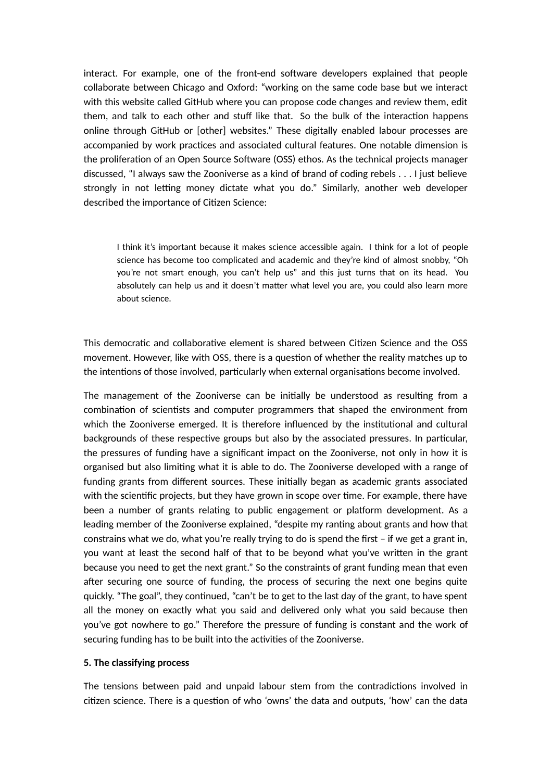interact. For example, one of the front-end software developers explained that people collaborate between Chicago and Oxford: "working on the same code base but we interact with this website called GitHub where you can propose code changes and review them, edit them, and talk to each other and stuff like that. So the bulk of the interaction happens online through GitHub or [other] websites." These digitally enabled labour processes are accompanied by work practices and associated cultural features. One notable dimension is the proliferation of an Open Source Software (OSS) ethos. As the technical projects manager discussed, "I always saw the Zooniverse as a kind of brand of coding rebels . . . I just believe strongly in not letting money dictate what you do." Similarly, another web developer described the importance of Citizen Science:

I think it's important because it makes science accessible again. I think for a lot of people science has become too complicated and academic and they're kind of almost snobby, "Oh you're not smart enough, you can't help us" and this just turns that on its head. You absolutely can help us and it doesn't matter what level you are, you could also learn more about science.

This democratic and collaborative element is shared between Citizen Science and the OSS movement. However, like with OSS, there is a question of whether the reality matches up to the intentions of those involved, particularly when external organisations become involved.

The management of the Zooniverse can be initially be understood as resulting from a combination of scientists and computer programmers that shaped the environment from which the Zooniverse emerged. It is therefore influenced by the institutional and cultural backgrounds of these respective groups but also by the associated pressures. In particular, the pressures of funding have a significant impact on the Zooniverse, not only in how it is organised but also limiting what it is able to do. The Zooniverse developed with a range of funding grants from different sources. These initially began as academic grants associated with the scientific projects, but they have grown in scope over time. For example, there have been a number of grants relating to public engagement or platform development. As a leading member of the Zooniverse explained, "despite my ranting about grants and how that constrains what we do, what you're really trying to do is spend the first - if we get a grant in, you want at least the second half of that to be beyond what you've writen in the grant because you need to get the next grant." So the constraints of grant funding mean that even after securing one source of funding, the process of securing the next one begins quite quickly. "The goal", they continued, "can't be to get to the last day of the grant, to have spent all the money on exactly what you said and delivered only what you said because then you've got nowhere to go." Therefore the pressure of funding is constant and the work of securing funding has to be built into the activities of the Zooniverse.

### **5. The classifying process**

The tensions between paid and unpaid labour stem from the contradictions involved in citizen science. There is a question of who 'owns' the data and outputs, 'how' can the data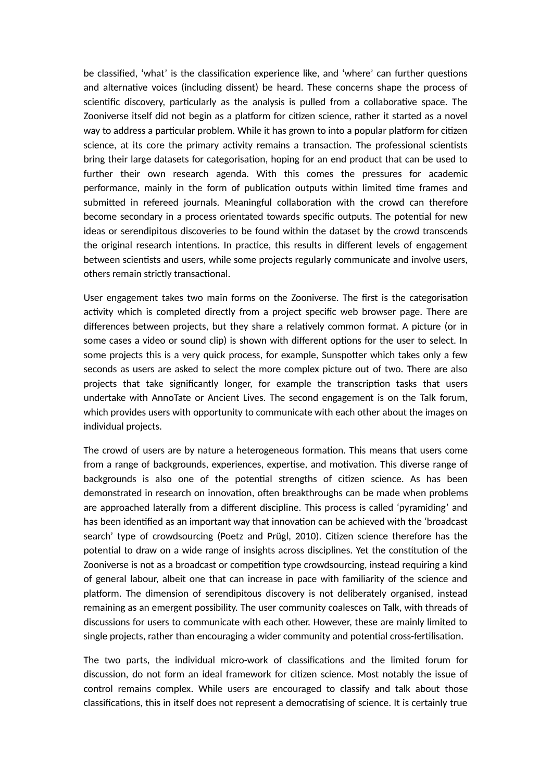be classified, 'what' is the classification experience like, and 'where' can further questions and alternative voices (including dissent) be heard. These concerns shape the process of scientific discovery, particularly as the analysis is pulled from a collaborative space. The Zooniverse itself did not begin as a platform for citizen science, rather it started as a novel way to address a particular problem. While it has grown to into a popular platform for citizen science, at its core the primary activity remains a transaction. The professional scientists bring their large datasets for categorisation, hoping for an end product that can be used to further their own research agenda. With this comes the pressures for academic performance, mainly in the form of publication outputs within limited time frames and submited in refereed journals. Meaningful collaboration with the crowd can therefore become secondary in a process orientated towards specific outputs. The potential for new ideas or serendipitous discoveries to be found within the dataset by the crowd transcends the original research intentions. In practice, this results in different levels of engagement between scientists and users, while some projects regularly communicate and involve users, others remain strictly transactional.

User engagement takes two main forms on the Zooniverse. The first is the categorisation activity which is completed directly from a project specific web browser page. There are differences between projects, but they share a relatively common format. A picture (or in some cases a video or sound clip) is shown with different options for the user to select. In some projects this is a very quick process, for example, Sunspotter which takes only a few seconds as users are asked to select the more complex picture out of two. There are also projects that take significantly longer, for example the transcription tasks that users undertake with AnnoTate or Ancient Lives. The second engagement is on the Talk forum, which provides users with opportunity to communicate with each other about the images on individual projects.

The crowd of users are by nature a heterogeneous formation. This means that users come from a range of backgrounds, experiences, expertise, and motivation. This diverse range of backgrounds is also one of the potential strengths of citizen science. As has been demonstrated in research on innovation, often breakthroughs can be made when problems are approached laterally from a different discipline. This process is called 'pyramiding' and has been identified as an important way that innovation can be achieved with the 'broadcast search' type of crowdsourcing (Poetz and Prügl, 2010). Citizen science therefore has the potential to draw on a wide range of insights across disciplines. Yet the constitution of the Zooniverse is not as a broadcast or competition type crowdsourcing, instead requiring a kind of general labour, albeit one that can increase in pace with familiarity of the science and platform. The dimension of serendipitous discovery is not deliberately organised, instead remaining as an emergent possibility. The user community coalesces on Talk, with threads of discussions for users to communicate with each other. However, these are mainly limited to single projects, rather than encouraging a wider community and potential cross-fertilisation.

The two parts, the individual micro-work of classifications and the limited forum for discussion, do not form an ideal framework for citizen science. Most notably the issue of control remains complex. While users are encouraged to classify and talk about those classifications, this in itself does not represent a democratising of science. It is certainly true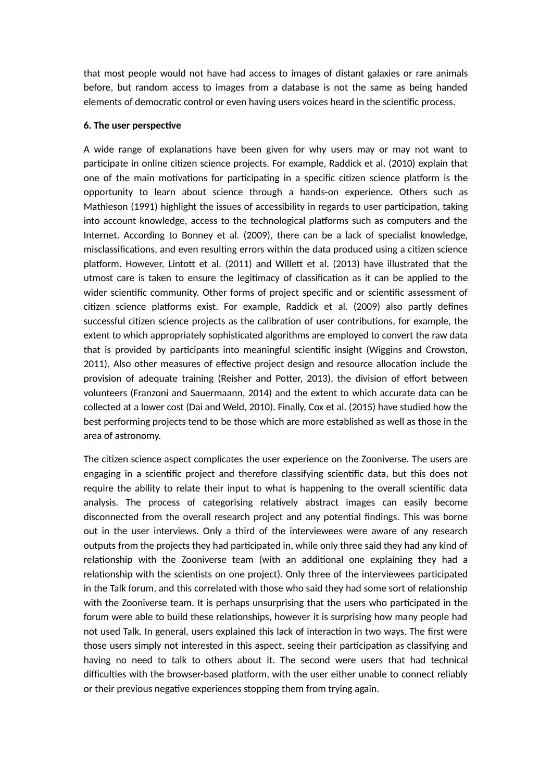that most people would not have had access to images of distant galaxies or rare animals before, but random access to images from a database is not the same as being handed elements of democratic control or even having users voices heard in the scientific process.

### **6. The user perspective**

A wide range of explanations have been given for why users may or may not want to participate in online citizen science projects. For example, Raddick et al. (2010) explain that one of the main motivations for participating in a specific citizen science platform is the opportunity to learn about science through a hands-on experience. Others such as Mathieson (1991) highlight the issues of accessibility in regards to user participation, taking into account knowledge, access to the technological platforms such as computers and the Internet. According to Bonney et al. (2009), there can be a lack of specialist knowledge, misclassifications, and even resulting errors within the data produced using a citizen science platform. However, Lintott et al. (2011) and Willett et al. (2013) have illustrated that the utmost care is taken to ensure the legitimacy of classification as it can be applied to the wider scientific community. Other forms of project specific and or scientific assessment of citizen science platforms exist. For example, Raddick et al. (2009) also partly defines successful citizen science projects as the calibration of user contributions, for example, the extent to which appropriately sophisticated algorithms are employed to convert the raw data that is provided by participants into meaningful scientific insight (Wiggins and Crowston, 2011). Also other measures of effective project design and resource allocation include the provision of adequate training (Reisher and Potter, 2013), the division of effort between volunteers (Franzoni and Sauermaann, 2014) and the extent to which accurate data can be collected at a lower cost (Dai and Weld, 2010). Finally, Cox et al. (2015) have studied how the best performing projects tend to be those which are more established as well as those in the area of astronomy.

The citizen science aspect complicates the user experience on the Zooniverse. The users are engaging in a scientific project and therefore classifying scientific data, but this does not require the ability to relate their input to what is happening to the overall scientific data analysis. The process of categorising relatively abstract images can easily become disconnected from the overall research project and any potential findings. This was borne out in the user interviews. Only a third of the interviewees were aware of any research outputs from the projects they had participated in, while only three said they had any kind of relationship with the Zooniverse team (with an additional one explaining they had a relationship with the scientists on one project). Only three of the interviewees participated in the Talk forum, and this correlated with those who said they had some sort of relationship with the Zooniverse team. It is perhaps unsurprising that the users who participated in the forum were able to build these relationships, however it is surprising how many people had not used Talk. In general, users explained this lack of interaction in two ways. The first were those users simply not interested in this aspect, seeing their participation as classifying and having no need to talk to others about it. The second were users that had technical difficulties with the browser-based platform, with the user either unable to connect reliably or their previous negative experiences stopping them from trying again.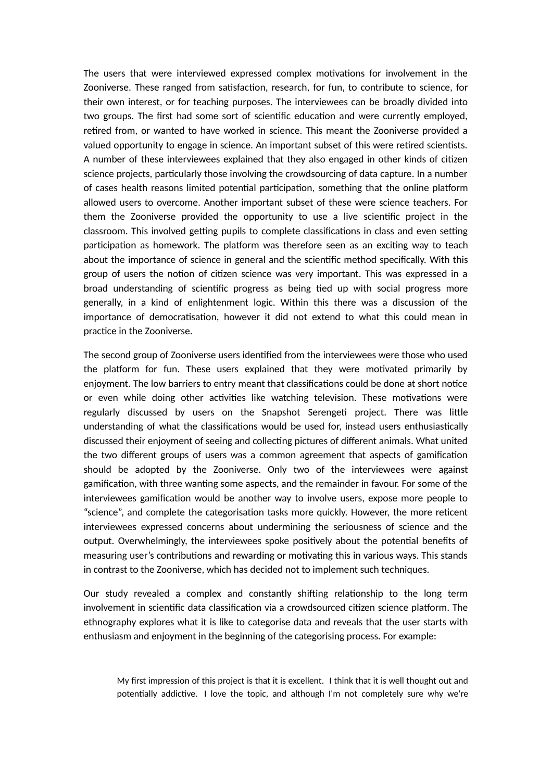The users that were interviewed expressed complex motivations for involvement in the Zooniverse. These ranged from satisfaction, research, for fun, to contribute to science, for their own interest, or for teaching purposes. The interviewees can be broadly divided into two groups. The first had some sort of scientific education and were currently employed, retired from, or wanted to have worked in science. This meant the Zooniverse provided a valued opportunity to engage in science. An important subset of this were retired scientists. A number of these interviewees explained that they also engaged in other kinds of citizen science projects, particularly those involving the crowdsourcing of data capture. In a number of cases health reasons limited potential participation, something that the online platform allowed users to overcome. Another important subset of these were science teachers. For them the Zooniverse provided the opportunity to use a live scientific project in the classroom. This involved getting pupils to complete classifications in class and even setting participation as homework. The platform was therefore seen as an exciting way to teach about the importance of science in general and the scientific method specifically. With this group of users the notion of citizen science was very important. This was expressed in a broad understanding of scientific progress as being tied up with social progress more generally, in a kind of enlightenment logic. Within this there was a discussion of the importance of democratisation, however it did not extend to what this could mean in practice in the Zooniverse.

The second group of Zooniverse users identified from the interviewees were those who used the platform for fun. These users explained that they were motivated primarily by enjoyment. The low barriers to entry meant that classifications could be done at short notice or even while doing other activities like watching television. These motivations were regularly discussed by users on the Snapshot Serengeti project. There was litle understanding of what the classifications would be used for, instead users enthusiastically discussed their enjoyment of seeing and collecting pictures of different animals. What united the two different groups of users was a common agreement that aspects of gamification should be adopted by the Zooniverse. Only two of the interviewees were against gamification, with three wanting some aspects, and the remainder in favour. For some of the interviewees gamification would be another way to involve users, expose more people to "science", and complete the categorisation tasks more quickly. However, the more reticent interviewees expressed concerns about undermining the seriousness of science and the output. Overwhelmingly, the interviewees spoke positively about the potential benefits of measuring user's contributions and rewarding or motivating this in various ways. This stands in contrast to the Zooniverse, which has decided not to implement such techniques.

Our study revealed a complex and constantly shifting relationship to the long term involvement in scientific data classification via a crowdsourced citizen science platform. The ethnography explores what it is like to categorise data and reveals that the user starts with enthusiasm and enjoyment in the beginning of the categorising process. For example:

My first impression of this project is that it is excellent. I think that it is well thought out and potentially addictive. I love the topic, and although I'm not completely sure why we're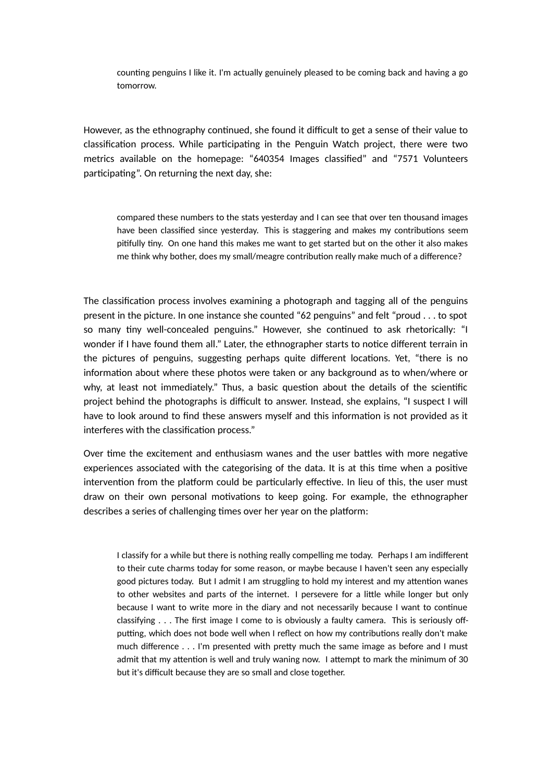counting penguins I like it. I'm actually genuinely pleased to be coming back and having a go tomorrow.

However, as the ethnography continued, she found it difficult to get a sense of their value to classification process. While participating in the Penguin Watch project, there were two metrics available on the homepage: "640354 Images classified" and "7571 Volunteers participating". On returning the next day, she:

compared these numbers to the stats yesterday and I can see that over ten thousand images have been classified since yesterday. This is staggering and makes my contributions seem pitifully tiny. On one hand this makes me want to get started but on the other it also makes me think why bother, does my small/meagre contribution really make much of a difference?

The classification process involves examining a photograph and tagging all of the penguins present in the picture. In one instance she counted "62 penguins" and felt "proud . . . to spot so many tiny well-concealed penguins." However, she continued to ask rhetorically: "I wonder if I have found them all." Later, the ethnographer starts to notice different terrain in the pictures of penguins, suggesting perhaps quite different locations. Yet, "there is no information about where these photos were taken or any background as to when/where or why, at least not immediately." Thus, a basic question about the details of the scientific project behind the photographs is difficult to answer. Instead, she explains, "I suspect I will have to look around to find these answers myself and this information is not provided as it interferes with the classification process."

Over time the excitement and enthusiasm wanes and the user battles with more negative experiences associated with the categorising of the data. It is at this time when a positive intervention from the platform could be particularly effective. In lieu of this, the user must draw on their own personal motivations to keep going. For example, the ethnographer describes a series of challenging times over her year on the platform:

I classify for a while but there is nothing really compelling me today. Perhaps I am indifferent to their cute charms today for some reason, or maybe because I haven't seen any especially good pictures today. But I admit I am struggling to hold my interest and my atention wanes to other websites and parts of the internet. I persevere for a litle while longer but only because I want to write more in the diary and not necessarily because I want to continue classifying . . . The first image I come to is obviously a faulty camera. This is seriously offputting, which does not bode well when I reflect on how my contributions really don't make much difference . . . I'm presented with prety much the same image as before and I must admit that my atention is well and truly waning now. I atempt to mark the minimum of 30 but it's difficult because they are so small and close together.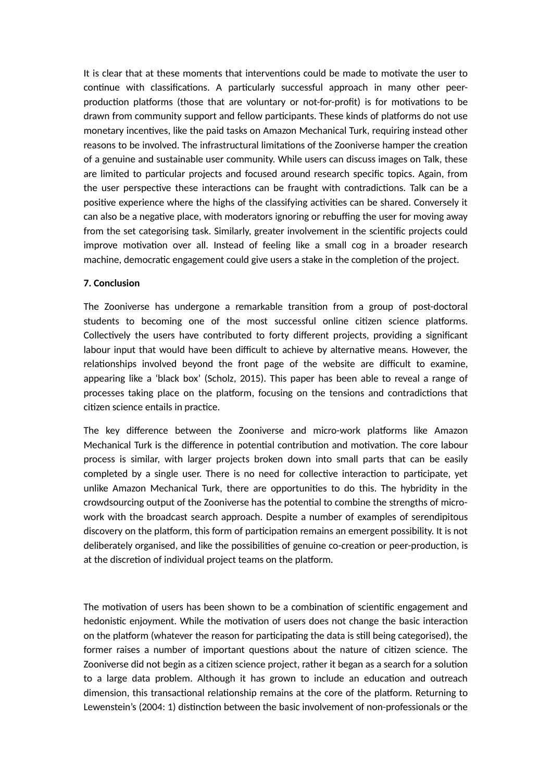It is clear that at these moments that interventions could be made to motivate the user to continue with classifications. A particularly successful approach in many other peerproduction platforms (those that are voluntary or not-for-profit) is for motivations to be drawn from community support and fellow participants. These kinds of platforms do not use monetary incentives, like the paid tasks on Amazon Mechanical Turk, requiring instead other reasons to be involved. The infrastructural limitations of the Zooniverse hamper the creation of a genuine and sustainable user community. While users can discuss images on Talk, these are limited to particular projects and focused around research specific topics. Again, from the user perspective these interactions can be fraught with contradictions. Talk can be a positive experience where the highs of the classifying activities can be shared. Conversely it can also be a negative place, with moderators ignoring or rebuffing the user for moving away from the set categorising task. Similarly, greater involvement in the scientific projects could improve motivation over all. Instead of feeling like a small cog in a broader research machine, democratic engagement could give users a stake in the completion of the project.

## **7. Conclusion**

The Zooniverse has undergone a remarkable transition from a group of post-doctoral students to becoming one of the most successful online citizen science platforms. Collectively the users have contributed to forty different projects, providing a significant labour input that would have been difficult to achieve by alternative means. However, the relationships involved beyond the front page of the website are difficult to examine, appearing like a 'black box' (Scholz, 2015). This paper has been able to reveal a range of processes taking place on the platform, focusing on the tensions and contradictions that citizen science entails in practice.

The key difference between the Zooniverse and micro-work platforms like Amazon Mechanical Turk is the difference in potential contribution and motivation. The core labour process is similar, with larger projects broken down into small parts that can be easily completed by a single user. There is no need for collective interaction to participate, yet unlike Amazon Mechanical Turk, there are opportunities to do this. The hybridity in the crowdsourcing output of the Zooniverse has the potential to combine the strengths of microwork with the broadcast search approach. Despite a number of examples of serendipitous discovery on the platform, this form of participation remains an emergent possibility. It is not deliberately organised, and like the possibilities of genuine co-creation or peer-production, is at the discretion of individual project teams on the platform.

The motivation of users has been shown to be a combination of scientific engagement and hedonistic enjoyment. While the motivation of users does not change the basic interaction on the platform (whatever the reason for participating the data is still being categorised), the former raises a number of important questions about the nature of citizen science. The Zooniverse did not begin as a citizen science project, rather it began as a search for a solution to a large data problem. Although it has grown to include an education and outreach dimension, this transactional relationship remains at the core of the platform. Returning to Lewenstein's (2004: 1) distinction between the basic involvement of non-professionals or the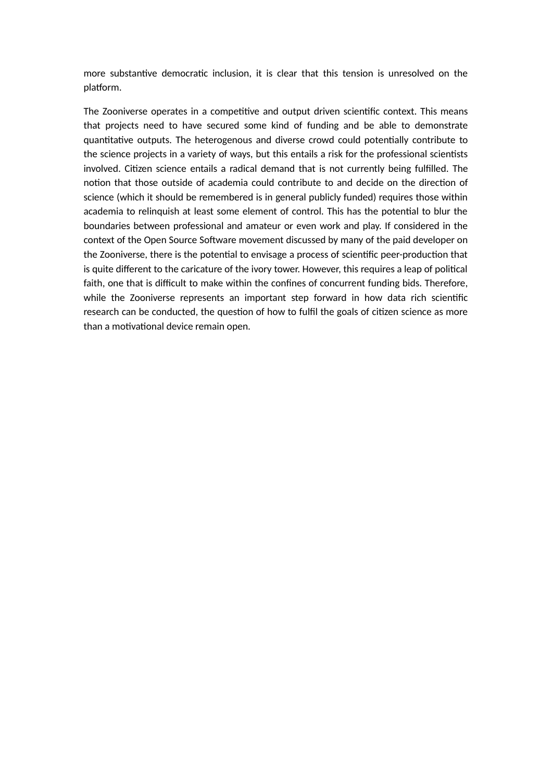more substantive democratic inclusion, it is clear that this tension is unresolved on the platform.

The Zooniverse operates in a competitive and output driven scientific context. This means that projects need to have secured some kind of funding and be able to demonstrate quantitative outputs. The heterogenous and diverse crowd could potentially contribute to the science projects in a variety of ways, but this entails a risk for the professional scientists involved. Citizen science entails a radical demand that is not currently being fulfilled. The notion that those outside of academia could contribute to and decide on the direction of science (which it should be remembered is in general publicly funded) requires those within academia to relinquish at least some element of control. This has the potential to blur the boundaries between professional and amateur or even work and play. If considered in the context of the Open Source Software movement discussed by many of the paid developer on the Zooniverse, there is the potential to envisage a process of scientific peer-production that is quite different to the caricature of the ivory tower. However, this requires a leap of political faith, one that is difficult to make within the confines of concurrent funding bids. Therefore, while the Zooniverse represents an important step forward in how data rich scientific research can be conducted, the question of how to fulfil the goals of citizen science as more than a motivational device remain open.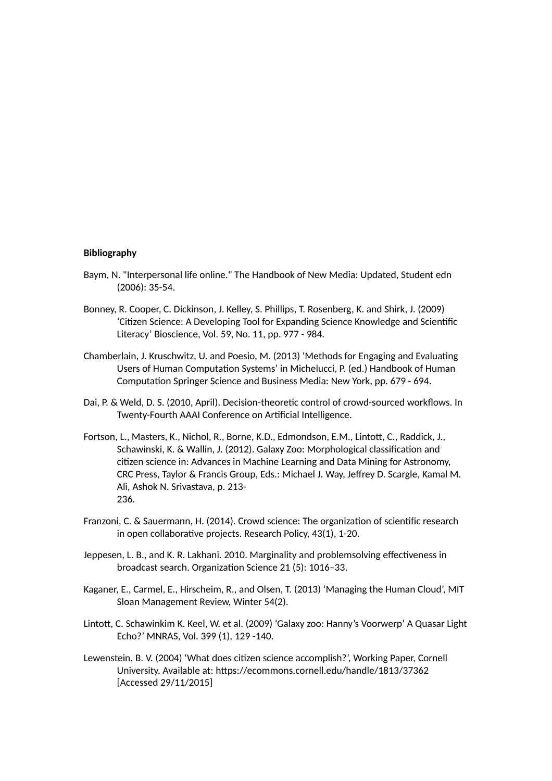#### **Bibliography**

- Baym, N. "Interpersonal life online." The Handbook of New Media: Updated, Student edn (2006): 35-54.
- Bonney, R. Cooper, C. Dickinson, J. Kelley, S. Phillips, T. Rosenberg, K. and Shirk, J. (2009) 'Citizen Science: A Developing Tool for Expanding Science Knowledge and Scientific Literacy' Bioscience, Vol. 59, No. 11, pp. 977 - 984.
- Chamberlain, J. Kruschwitz, U. and Poesio, M. (2013) 'Methods for Engaging and Evaluating Users of Human Computation Systems' in Michelucci, P. (ed.) Handbook of Human Computation Springer Science and Business Media: New York, pp. 679 - 694.
- Dai, P. & Weld, D. S. (2010, April). Decision-theoretic control of crowd-sourced workflows. In Twenty-Fourth AAAI Conference on Artificial Intelligence.
- Fortson, L., Masters, K., Nichol, R., Borne, K.D., Edmondson, E.M., Lintott, C., Raddick, J., Schawinski, K. & Wallin, J. (2012). Galaxy Zoo: Morphological classification and citizen science in: Advances in Machine Learning and Data Mining for Astronomy, CRC Press, Taylor & Francis Group, Eds.: Michael J. Way, Jeffrey D. Scargle, Kamal M. Ali, Ashok N. Srivastava, p. 213- 236.
- Franzoni, C. & Sauermann, H. (2014). Crowd science: The organization of scientific research in open collaborative projects. Research Policy, 43(1), 1-20.
- Jeppesen, L. B., and K. R. Lakhani. 2010. Marginality and problemsolving effectiveness in broadcast search. Organization Science 21 (5): 1016–33.
- Kaganer, E., Carmel, E., Hirscheim, R., and Olsen, T. (2013) 'Managing the Human Cloud', MIT Sloan Management Review, Winter 54(2).
- Lintot, C. Schawinkim K. Keel, W. et al. (2009) 'Galaxy zoo: Hanny's Voorwerp' A Quasar Light Echo?' MNRAS, Vol. 399 (1), 129 -140.
- Lewenstein, B. V. (2004) 'What does citizen science accomplish?', Working Paper, Cornell University. Available at: [htps://ecommons.cornell.edu/handle/1813/37362](https://ecommons.cornell.edu/handle/1813/37362)  [Accessed 29/11/2015]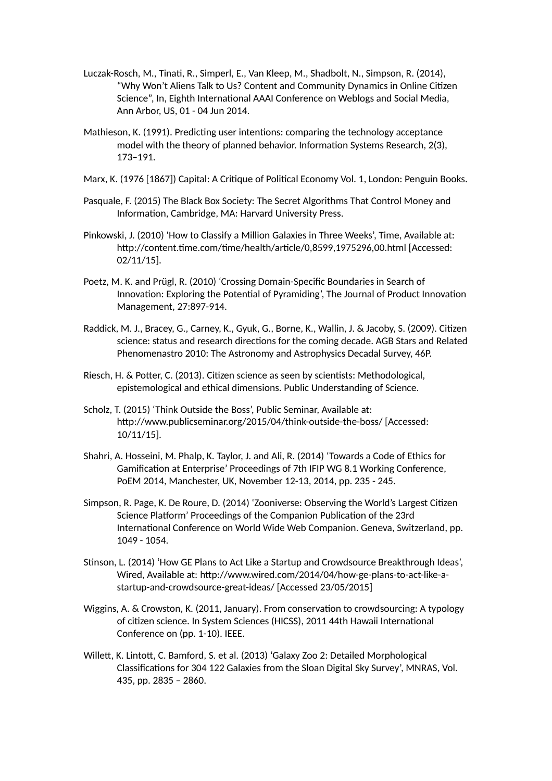- Luczak-Rosch, M., Tinati, R., Simperl, E., Van Kleep, M., Shadbolt, N., Simpson, R. (2014), "Why Won't Aliens Talk to Us? Content and Community Dynamics in Online Citizen Science", In, Eighth International AAAI Conference on Weblogs and Social Media, Ann Arbor, US, 01 - 04 Jun 2014.
- Mathieson, K. (1991). Predicting user intentions: comparing the technology acceptance model with the theory of planned behavior. Information Systems Research, 2(3), 173–191.
- Marx, K. (1976 [1867]) Capital: A Critique of Political Economy Vol. 1, London: Penguin Books.
- Pasquale, F. (2015) The Black Box Society: The Secret Algorithms That Control Money and Information, Cambridge, MA: Harvard University Press.
- Pinkowski, J. (2010) 'How to Classify a Million Galaxies in Three Weeks', Time, Available at: htp://content.time.com/time/health/article/0,8599,1975296,00.html [Accessed: 02/11/15].
- Poetz, M. K. and Prügl, R. (2010) 'Crossing Domain-Specific Boundaries in Search of Innovation: Exploring the Potential of Pyramiding', The Journal of Product Innovation Management, 27:897-914.
- Raddick, M. J., Bracey, G., Carney, K., Gyuk, G., Borne, K., Wallin, J. & Jacoby, S. (2009). Citizen science: status and research directions for the coming decade. AGB Stars and Related Phenomenastro 2010: The Astronomy and Astrophysics Decadal Survey, 46P.
- Riesch, H. & Poter, C. (2013). Citizen science as seen by scientists: Methodological, epistemological and ethical dimensions. Public Understanding of Science.
- Scholz, T. (2015) 'Think Outside the Boss', Public Seminar, Available at: htp://www.publicseminar.org/2015/04/think-outside-the-boss/ [Accessed: 10/11/15].
- Shahri, A. Hosseini, M. Phalp, K. Taylor, J. and Ali, R. (2014) 'Towards a Code of Ethics for Gamification at Enterprise' Proceedings of 7th IFIP WG 8.1 Working Conference, PoEM 2014, Manchester, UK, November 12-13, 2014, pp. 235 - 245.
- Simpson, R. Page, K. De Roure, D. (2014) 'Zooniverse: Observing the World's Largest Citizen Science Platform' Proceedings of the Companion Publication of the 23rd International Conference on World Wide Web Companion. Geneva, Switzerland, pp. 1049 - 1054.
- Stinson, L. (2014) 'How GE Plans to Act Like a Startup and Crowdsource Breakthrough Ideas', Wired, Available at: [htp://www.wired.com/2014/04/how-ge-plans-to-act-like-a](http://www.wired.com/2014/04/how-ge-plans-to-act-like-a-)startup-and-crowdsource-great-ideas/ [Accessed 23/05/2015]
- Wiggins, A. & Crowston, K. (2011, January). From conservation to crowdsourcing: A typology of citizen science. In System Sciences (HICSS), 2011 44th Hawaii International Conference on (pp. 1-10). IEEE.
- Willett, K. Lintott, C. Bamford, S. et al. (2013) 'Galaxy Zoo 2: Detailed Morphological Classifications for 304 122 Galaxies from the Sloan Digital Sky Survey', MNRAS, Vol. 435, pp. 2835 – 2860.